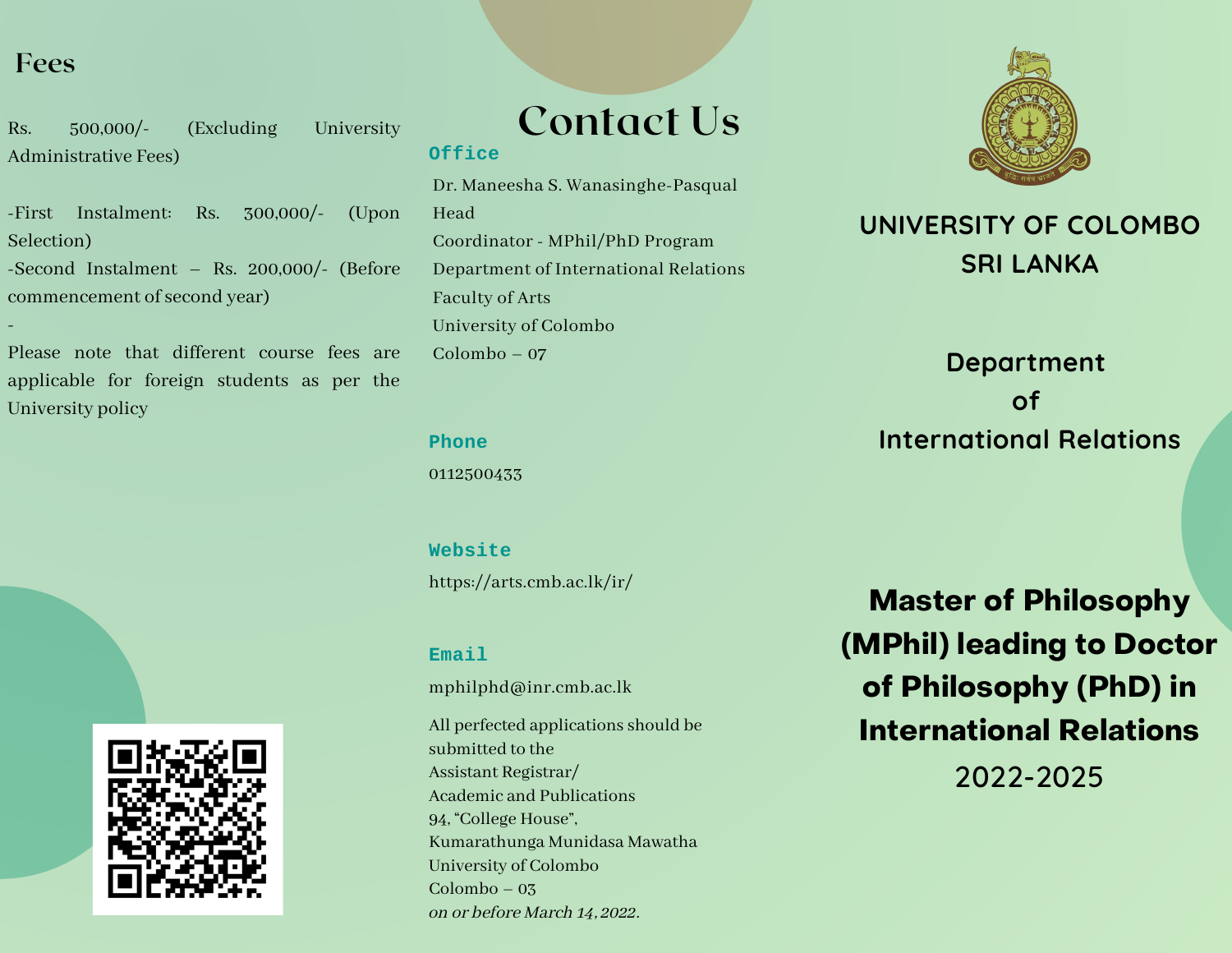## **Fees**

-

Rs. 500,000/- (Excluding University Administrative Fees)

-First Instalment: Rs. 300,000/- (Upon Selection)

-Second Instalment – Rs. 200,000/- (Before commencement of second year)

Please note that different course fees are applicable for foreign students as per the University policy



## **Contact Us Office**

Dr. Maneesha S. Wanasinghe-Pasqual Head Coordinator - MPhil/PhD Program Department of International Relations Faculty of Arts University of Colombo Colombo – 07

#### **Phone**

0112500433

https://arts.cmb.ac.lk/ir/ **Website**

### **Email**

mphilphd@inr.cmb.ac.lk

All perfected applications should be submitted to the Assistant Registrar/ Academic and Publications 94, "College House", Kumarathunga Munidasa Mawatha University of Colombo Colombo – 03 on or before March 14, 2022.



## **UNIVERSITY OF COLOMBO SRI LANKA**

# **Department of International Relations**

**Master of Philosophy (MPhil) leading to Doctor of Philosophy (PhD) in International Relations**

2022-2025